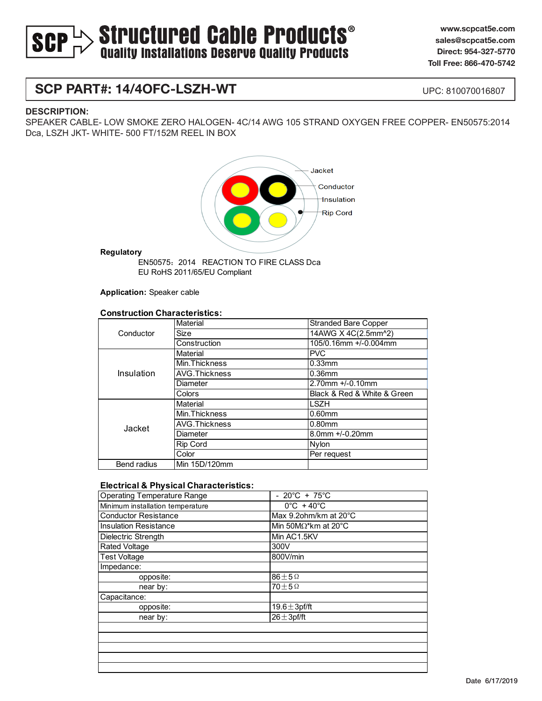# $>$  Structured Cable Products<sup>®</sup><br>Quality Installations Deserve Quality Products **SCP**

**www.scpcat5e.com sales@scpcat5e.com Direct: 954-327-5770 Toll Free: 866-470-5742**

## **SCP PART#: 14/4OFC-LSZH-WT**

UPC: 810070016807

#### **DESCRIPTION:**

SPEAKER CABLE- LOW SMOKE ZERO HALOGEN- 4C/14 AWG 105 STRAND OXYGEN FREE COPPER- EN50575:2014 Dca, LSZH JKT- WHITE- 500 FT/152M REEL IN BOX



**Regulatory**

EU RoHS 2011/65/EU Compliant EN50575:2014 REACTION TO FIRE CLASS Dca

**Application:** Speaker cable

#### **Construction Characteristics:**

| Conductor          | Material             | <b>Stranded Bare Copper</b> |
|--------------------|----------------------|-----------------------------|
|                    | Size                 | 14AWG X 4C(2.5mm^2)         |
|                    | Construction         | 105/0.16mm +/-0.004mm       |
| Insulation         | Material             | <b>PVC</b>                  |
|                    | Min. Thickness       | $0.33$ mm                   |
|                    | <b>AVG.Thickness</b> | $0.36$ mm                   |
|                    | Diameter             | 2.70mm +/-0.10mm            |
|                    | Colors               | Black & Red & White & Green |
| Jacket             | Material             | <b>LSZH</b>                 |
|                    | Min. Thickness       | $0.60$ mm                   |
|                    | AVG.Thickness        | $0.80$ mm                   |
|                    | Diameter             | 8.0mm +/-0.20mm             |
|                    | <b>Rip Cord</b>      | Nylon                       |
|                    | Color                | Per request                 |
| <b>Bend radius</b> | Min 15D/120mm        |                             |

#### **Electrical & Physical Characteristics:**

| <b>Operating Temperature Range</b> | - $20^{\circ}C + 75^{\circ}C$   |
|------------------------------------|---------------------------------|
| Minimum installation temperature   | $0^{\circ}$ C + 40 $^{\circ}$ C |
| <b>Conductor Resistance</b>        | Max 9.2ohm/km at 20°C           |
| <b>Insulation Resistance</b>       | Min 50M $\Omega^*$ km at 20°C   |
| Dielectric Strength                | Min AC1.5KV                     |
| <b>Rated Voltage</b>               | 300V                            |
| Test Voltage                       | 800V/min                        |
| Impedance:                         |                                 |
| opposite:                          | $86 \pm 5$ $\Omega$             |
| near by:                           | $70+5\Omega$                    |
| Capacitance:                       |                                 |
| opposite:                          | 19.6 $\pm$ 3pf/ft               |
| near by:                           | $26 \pm 3$ pf/ft                |
|                                    |                                 |
|                                    |                                 |
|                                    |                                 |
|                                    |                                 |
|                                    |                                 |